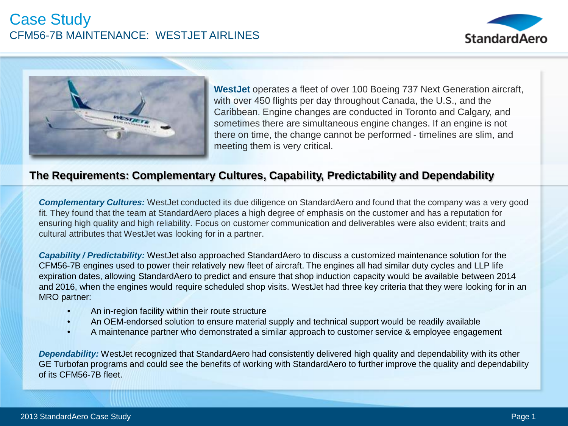# Case Study CFM56-7B MAINTENANCE: WESTJET AIRLINES





**WestJet** operates a fleet of over 100 Boeing 737 Next Generation aircraft, with over 450 flights per day throughout Canada, the U.S., and the Caribbean. Engine changes are conducted in Toronto and Calgary, and sometimes there are simultaneous engine changes. If an engine is not there on time, the change cannot be performed - timelines are slim, and meeting them is very critical.

### **The Requirements: Complementary Cultures, Capability, Predictability and Dependability**

*Complementary Cultures:* WestJet conducted its due diligence on StandardAero and found that the company was a very good fit. They found that the team at StandardAero places a high degree of emphasis on the customer and has a reputation for ensuring high quality and high reliability. Focus on customer communication and deliverables were also evident; traits and cultural attributes that WestJet was looking for in a partner.

*Capability / Predictability:* WestJet also approached StandardAero to discuss a customized maintenance solution for the CFM56-7B engines used to power their relatively new fleet of aircraft. The engines all had similar duty cycles and LLP life expiration dates, allowing StandardAero to predict and ensure that shop induction capacity would be available between 2014 and 2016, when the engines would require scheduled shop visits. WestJet had three key criteria that they were looking for in an MRO partner:

- An in-region facility within their route structure
- An OEM-endorsed solution to ensure material supply and technical support would be readily available
- A maintenance partner who demonstrated a similar approach to customer service & employee engagement

*Dependability:* WestJet recognized that StandardAero had consistently delivered high quality and dependability with its other GE Turbofan programs and could see the benefits of working with StandardAero to further improve the quality and dependability of its CFM56-7B fleet.